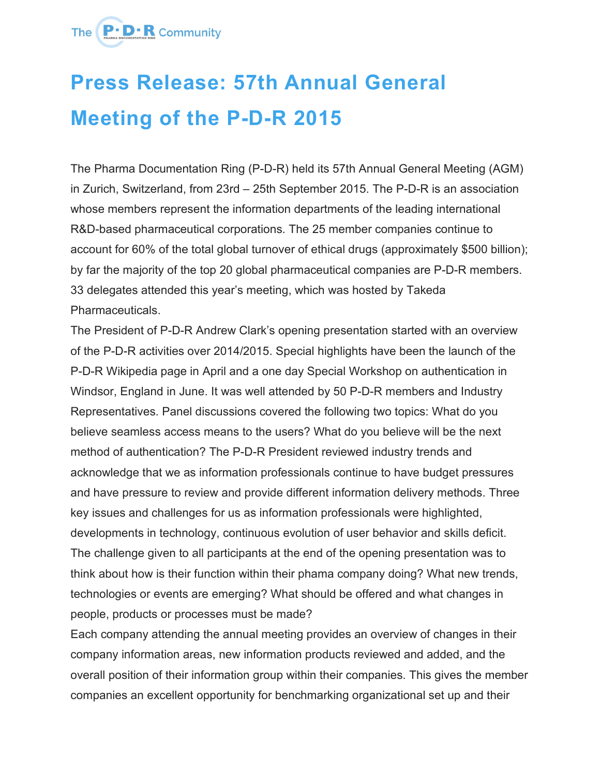## The **P.D.R** Community

## **Press Release: 57th Annual General Meeting of the P-D-R 2015**

The Pharma Documentation Ring (P-D-R) held its 57th Annual General Meeting (AGM) in Zurich, Switzerland, from 23rd – 25th September 2015. The P-D-R is an association whose members represent the information departments of the leading international R&D-based pharmaceutical corporations. The 25 member companies continue to account for 60% of the total global turnover of ethical drugs (approximately \$500 billion); by far the majority of the top 20 global pharmaceutical companies are P-D-R members. 33 delegates attended this year's meeting, which was hosted by Takeda **Pharmaceuticals** 

The President of P-D-R Andrew Clark's opening presentation started with an overview of the P-D-R activities over 2014/2015. Special highlights have been the launch of the P-D-R Wikipedia page in April and a one day Special Workshop on authentication in Windsor, England in June. It was well attended by 50 P-D-R members and Industry Representatives. Panel discussions covered the following two topics: What do you believe seamless access means to the users? What do you believe will be the next method of authentication? The P-D-R President reviewed industry trends and acknowledge that we as information professionals continue to have budget pressures and have pressure to review and provide different information delivery methods. Three key issues and challenges for us as information professionals were highlighted, developments in technology, continuous evolution of user behavior and skills deficit. The challenge given to all participants at the end of the opening presentation was to think about how is their function within their phama company doing? What new trends, technologies or events are emerging? What should be offered and what changes in people, products or processes must be made?

Each company attending the annual meeting provides an overview of changes in their company information areas, new information products reviewed and added, and the overall position of their information group within their companies. This gives the member companies an excellent opportunity for benchmarking organizational set up and their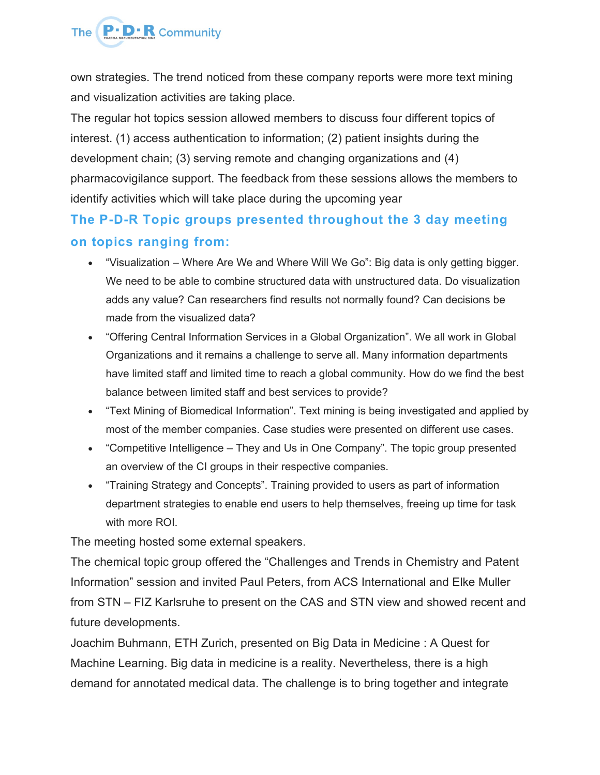

own strategies. The trend noticed from these company reports were more text mining and visualization activities are taking place.

The regular hot topics session allowed members to discuss four different topics of interest. (1) access authentication to information; (2) patient insights during the development chain; (3) serving remote and changing organizations and (4) pharmacovigilance support. The feedback from these sessions allows the members to identify activities which will take place during the upcoming year

## **The P-D-R Topic groups presented throughout the 3 day meeting on topics ranging from:**

- "Visualization Where Are We and Where Will We Go": Big data is only getting bigger. We need to be able to combine structured data with unstructured data. Do visualization adds any value? Can researchers find results not normally found? Can decisions be made from the visualized data?
- "Offering Central Information Services in a Global Organization". We all work in Global Organizations and it remains a challenge to serve all. Many information departments have limited staff and limited time to reach a global community. How do we find the best balance between limited staff and best services to provide?
- "Text Mining of Biomedical Information". Text mining is being investigated and applied by most of the member companies. Case studies were presented on different use cases.
- "Competitive Intelligence They and Us in One Company". The topic group presented an overview of the CI groups in their respective companies.
- "Training Strategy and Concepts". Training provided to users as part of information department strategies to enable end users to help themselves, freeing up time for task with more ROI.

The meeting hosted some external speakers.

The chemical topic group offered the "Challenges and Trends in Chemistry and Patent Information" session and invited Paul Peters, from ACS International and Elke Muller from STN – FIZ Karlsruhe to present on the CAS and STN view and showed recent and future developments.

Joachim Buhmann, ETH Zurich, presented on Big Data in Medicine : A Quest for Machine Learning. Big data in medicine is a reality. Nevertheless, there is a high demand for annotated medical data. The challenge is to bring together and integrate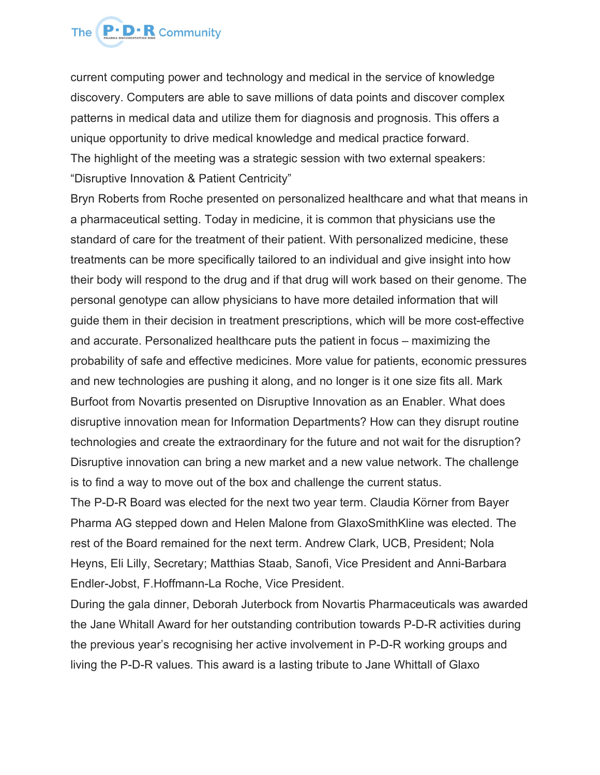

current computing power and technology and medical in the service of knowledge discovery. Computers are able to save millions of data points and discover complex patterns in medical data and utilize them for diagnosis and prognosis. This offers a unique opportunity to drive medical knowledge and medical practice forward. The highlight of the meeting was a strategic session with two external speakers: "Disruptive Innovation & Patient Centricity"

Bryn Roberts from Roche presented on personalized healthcare and what that means in a pharmaceutical setting. Today in medicine, it is common that physicians use the standard of care for the treatment of their patient. With personalized medicine, these treatments can be more specifically tailored to an individual and give insight into how their body will respond to the drug and if that drug will work based on their genome. The personal genotype can allow physicians to have more detailed information that will guide them in their decision in treatment prescriptions, which will be more cost-effective and accurate. Personalized healthcare puts the patient in focus – maximizing the probability of safe and effective medicines. More value for patients, economic pressures and new technologies are pushing it along, and no longer is it one size fits all. Mark Burfoot from Novartis presented on Disruptive Innovation as an Enabler. What does disruptive innovation mean for Information Departments? How can they disrupt routine technologies and create the extraordinary for the future and not wait for the disruption? Disruptive innovation can bring a new market and a new value network. The challenge is to find a way to move out of the box and challenge the current status.

The P-D-R Board was elected for the next two year term. Claudia Körner from Bayer Pharma AG stepped down and Helen Malone from GlaxoSmithKline was elected. The rest of the Board remained for the next term. Andrew Clark, UCB, President; Nola Heyns, Eli Lilly, Secretary; Matthias Staab, Sanofi, Vice President and Anni-Barbara Endler-Jobst, F.Hoffmann-La Roche, Vice President.

During the gala dinner, Deborah Juterbock from Novartis Pharmaceuticals was awarded the Jane Whitall Award for her outstanding contribution towards P-D-R activities during the previous year's recognising her active involvement in P-D-R working groups and living the P-D-R values. This award is a lasting tribute to Jane Whittall of Glaxo